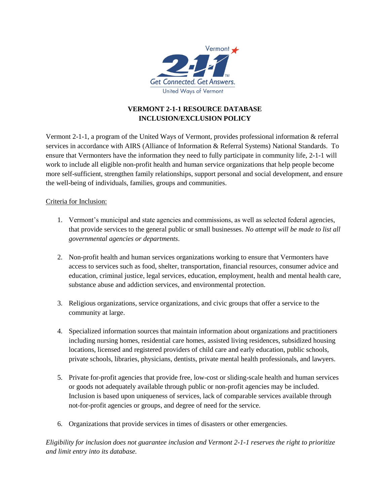

# **VERMONT 2-1-1 RESOURCE DATABASE INCLUSION/EXCLUSION POLICY**

Vermont 2-1-1, a program of the United Ways of Vermont, provides professional information & referral services in accordance with AIRS (Alliance of Information & Referral Systems) National Standards. To ensure that Vermonters have the information they need to fully participate in community life, 2-1-1 will work to include all eligible non-profit health and human service organizations that help people become more self-sufficient, strengthen family relationships, support personal and social development, and ensure the well-being of individuals, families, groups and communities.

# Criteria for Inclusion:

- 1. Vermont's municipal and state agencies and commissions, as well as selected federal agencies, that provide services to the general public or small businesses. *No attempt will be made to list all governmental agencies or departments*.
- 2. Non-profit health and human services organizations working to ensure that Vermonters have access to services such as food, shelter, transportation, financial resources, consumer advice and education, criminal justice, legal services, education, employment, health and mental health care, substance abuse and addiction services, and environmental protection.
- 3. Religious organizations, service organizations, and civic groups that offer a service to the community at large.
- 4. Specialized information sources that maintain information about organizations and practitioners including nursing homes, residential care homes, assisted living residences, subsidized housing locations, licensed and registered providers of child care and early education, public schools, private schools, libraries, physicians, dentists, private mental health professionals, and lawyers.
- 5. Private for-profit agencies that provide free, low-cost or sliding-scale health and human services or goods not adequately available through public or non-profit agencies may be included. Inclusion is based upon uniqueness of services, lack of comparable services available through not-for-profit agencies or groups, and degree of need for the service.
- 6. Organizations that provide services in times of disasters or other emergencies.

*Eligibility for inclusion does not guarantee inclusion and Vermont 2-1-1 reserves the right to prioritize and limit entry into its database.*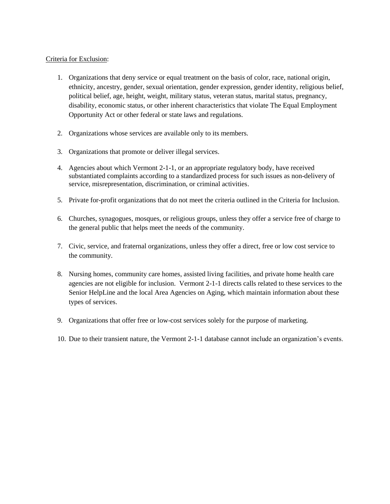### Criteria for Exclusion:

- 1. Organizations that deny service or equal treatment on the basis of color, race, national origin, ethnicity, ancestry, gender, sexual orientation, gender expression, gender identity, religious belief, political belief, age, height, weight, military status, veteran status, marital status, pregnancy, disability, economic status, or other inherent characteristics that violate The Equal Employment Opportunity Act or other federal or state laws and regulations.
- 2. Organizations whose services are available only to its members.
- 3. Organizations that promote or deliver illegal services.
- 4. Agencies about which Vermont 2-1-1, or an appropriate regulatory body, have received substantiated complaints according to a standardized process for such issues as non-delivery of service, misrepresentation, discrimination, or criminal activities.
- 5. Private for-profit organizations that do not meet the criteria outlined in the Criteria for Inclusion.
- 6. Churches, synagogues, mosques, or religious groups, unless they offer a service free of charge to the general public that helps meet the needs of the community.
- 7. Civic, service, and fraternal organizations, unless they offer a direct, free or low cost service to the community.
- 8. Nursing homes, community care homes, assisted living facilities, and private home health care agencies are not eligible for inclusion. Vermont 2-1-1 directs calls related to these services to the Senior HelpLine and the local Area Agencies on Aging, which maintain information about these types of services.
- 9. Organizations that offer free or low-cost services solely for the purpose of marketing.
- 10. Due to their transient nature, the Vermont 2-1-1 database cannot include an organization's events.